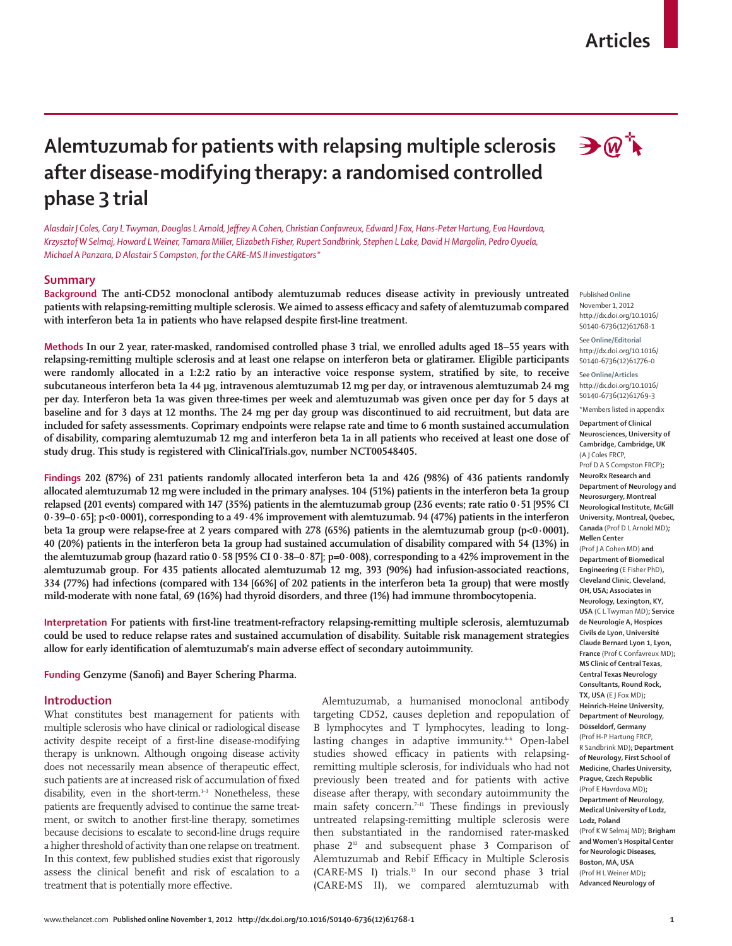# **Articles**

# **Alemtuzumab for patients with relapsing multiple sclerosis after disease-modifying therapy: a randomised controlled phase 3 trial**

 *Alasdair J Coles, Cary L Twyman, Douglas L Arnold, Jeff rey A Cohen, Christian Confavreux, Edward J Fox, Hans-Peter Hartung, Eva Havrdova, Krzysztof W Selmaj, Howard L Weiner, Tamara Miller, Elizabeth Fisher, Rupert Sandbrink, Stephen L Lake, David H Margolin, Pedro Oyuela, Michael A Panzara, D Alastair S Compston, for the CARE-MS II investigators\**

# **Summary**

**Background The anti-CD52 monoclonal antibody alemtuzumab reduces disease activity in previously untreated**  patients with relapsing-remitting multiple sclerosis. We aimed to assess efficacy and safety of alemtuzumab compared with interferon beta 1a in patients who have relapsed despite first-line treatment.

**Methods In our 2 year, rater-masked, randomised controlled phase 3 trial, we enrolled adults aged 18–55 years with relapsing-remitting multiple sclerosis and at least one relapse on interferon beta or glatiramer. Eligible participants were randomly allocated in a 1:2:2 ratio by an interactive voice response system, stratified by site, to receive subcutaneous interferon beta 1a 44 μg, intravenous alemtuzumab 12 mg per day, or intravenous alemtuzumab 24 mg per day. Interferon beta 1a was given three-times per week and alemtuzumab was given once per day for 5 days at baseline and for 3 days at 12 months. The 24 mg per day group was discontinued to aid recruitment, but data are included for safety assessments. Coprimary endpoints were relapse rate and time to 6 month sustained accumulation of disability, comparing alemtuzumab 12 mg and interferon beta 1a in all patients who received at least one dose of study drug. This study is registered with ClinicalTrials.gov, number NCT00548405.** 

**Findings 202 (87%) of 231 patients randomly allocated interferon beta 1a and 426 (98%) of 436 patients randomly allocated alemtuzumab 12 mg were included in the primary analyses. 104 (51%) patients in the interferon beta 1a group relapsed (201 events) compared with 147 (35%) patients in the alemtuzumab group (236 events; rate ratio 0·51 [95% CI 0·39–0·65]; p<0·0001), corresponding to a 49·4% improvement with alemtuzumab. 94 (47%) patients in the interferon beta 1a group were relapse-free at 2 years compared with 278 (65%) patients in the alemtuzumab group (p<0·0001). 40 (20%) patients in the interferon beta 1a group had sustained accumulation of disability compared with 54 (13%) in the alemtuzumab group (hazard ratio 0·58 [95% CI 0·38–0·87]; p=0·008), corresponding to a 42% improvement in the alemtuzumab group. For 435 patients allocated alemtuzumab 12 mg, 393 (90%) had infusion-associated reactions, 334 (77%) had infections (compared with 134 [66%] of 202 patients in the interferon beta 1a group) that were mostly mild-moderate with none fatal, 69 (16%) had thyroid disorders, and three (1%) had immune thrombocytopenia.** 

Interpretation For patients with first-line treatment-refractory relapsing-remitting multiple sclerosis, alemtuzumab **could be used to reduce relapse rates and sustained accumulation of disability. Suitable risk management strategies**  allow for early identification of alemtuzumab's main adverse effect of secondary autoimmunity.

Funding Genzyme (Sanofi) and Bayer Schering Pharma.

# **Introduction**

What constitutes best management for patients with multiple sclerosis who have clinical or radiological disease activity despite receipt of a first-line disease-modifying therapy is unknown. Although ongoing disease activity does not necessarily mean absence of therapeutic effect, such patients are at increased risk of accumulation of fixed disability, even in the short-term.<sup>1-3</sup> Nonetheless, these patients are frequently advised to continue the same treatment, or switch to another first-line therapy, sometimes because decisions to escalate to second-line drugs require a higher threshold of activity than one relapse on treatment. In this context, few published studies exist that rigorously assess the clinical benefit and risk of escalation to a treatment that is potentially more effective.

Alemtuzumab, a humanised monoclonal antibody targeting CD52, causes depletion and repopulation of B lymphocytes and T lymphocytes, leading to longlasting changes in adaptive immunity.<sup>46</sup> Open-label studies showed efficacy in patients with relapsingremitting multiple sclerosis, for individuals who had not previously been treated and for patients with active disease after therapy, with secondary autoimmunity the main safety concern.<sup>7-11</sup> These findings in previously untreated relapsing-remitting multiple sclerosis were then substantiated in the randomised rater-masked phase  $2<sup>12</sup>$  and subsequent phase 3 Comparison of Alemtuzumab and Rebif Efficacy in Multiple Sclerosis (CARE-MS I) trials.13 In our second phase 3 trial (CARE-MS II), we compared alemtuzumab with



Published **Online** November 1, 2012 http://dx.doi.org/10.1016/ S0140-6736(12)61768-1

See **Online/Editorial** http://dx.doi.org/10.1016/ S0140-6736(12)61776-0

See **Online/Articles** http://dx.doi.org/10.1016/ S0140-6736(12)61769-3 \*Members listed in appendix

**Department of Clinical Neurosciences, University of Cambridge, Cambridge, UK** 

(A J Coles FRCP,

Prof D A S Compston FRCP)**; NeuroRx Research and Department of Neurology and Neurosurgery, Montreal Neurological Institute, McGill University, Montreal, Quebec, Canada** (Prof D L Arnold MD)**; Mellen Center**  (Prof J A Cohen MD) **and Department of Biomedical Engineering** (E Fisher PhD)**, Cleveland Clinic, Cleveland, OH, USA; Associates in Neurology, Lexington, KY, USA** (C L Twyman MD)**; Service de Neurologie A, Hospices Civils de Lyon, Université Claude Bernard Lyon 1, Lyon, France** (Prof C Confavreux MD)**; MS Clinic of Central Texas, Central Texas Neurology Consultants, Round Rock, TX, USA** (E J Fox MD)**; Heinrich-Heine University, Department of Neurology, Düsseldorf, Germany**  (Prof H-P Hartung FRCP, R Sandbrink MD)**; Department of Neurology, First School of Medicine, Charles University, Prague, Czech Republic**  (Prof E Havrdova MD)**; Department of Neurology, Medical University of Lodz, Lodz, Poland**  (Prof K W Selmaj MD)**; Brigham and Women's Hospital Center for Neurologic Diseases, Boston, MA, USA**  (Prof H L Weiner MD)**; Advanced Neurology of**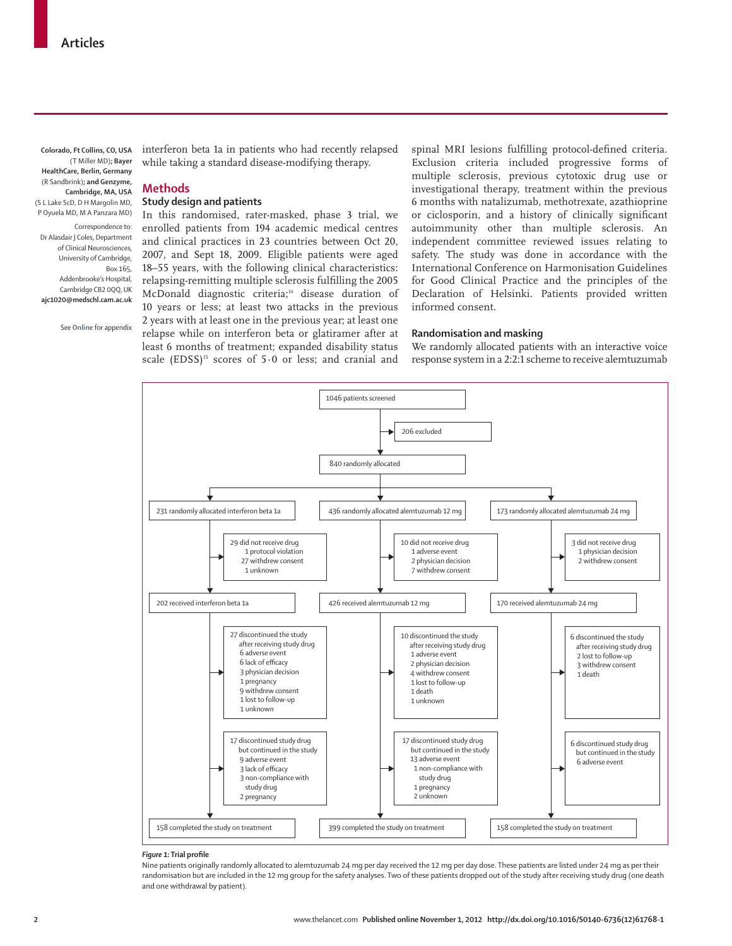**Colorado, Ft Collins, CO, USA**  (T Miller MD)**; Bayer HealthCare, Berlin, Germany**  (R Sandbrink)**; and Genzyme, Cambridge, MA, USA**  (S L Lake ScD, D H Margolin MD, P Oyuela MD, M A Panzara MD) Correspondence to: Dr Alasdair J Coles, Department of Clinical Neurosciences, University of Cambridge, Box 165, Addenbrooke's Hospital, Cambridge CB2 0QQ, UK **ajc1020@medschl.cam.ac.uk**

See **Online** for appendix

interferon beta 1a in patients who had recently relapsed while taking a standard disease-modifying therapy.

# **Methods**

## **Study design and patients**

In this randomised, rater-masked, phase 3 trial, we enrolled patients from 194 academic medical centres and clinical practices in 23 countries between Oct 20, 2007, and Sept 18, 2009. Eligible patients were aged 18–55 years, with the following clinical characteristics: relapsing-remitting multiple sclerosis fulfilling the 2005 McDonald diagnostic criteria;<sup>14</sup> disease duration of 10 years or less; at least two attacks in the previous 2 years with at least one in the previous year; at least one relapse while on interferon beta or glatiramer after at least 6 months of treatment; expanded disability status scale  $(EDSS)^{15}$  scores of 5.0 or less; and cranial and

spinal MRI lesions fulfilling protocol-defined criteria. Exclusion criteria included progressive forms of multiple sclerosis, previous cytotoxic drug use or investigational therapy, treatment within the previous 6 months with natalizumab, methotrexate, azathioprine or ciclosporin, and a history of clinically significant autoimmunity other than multiple sclerosis. An independent committee reviewed issues relating to safety. The study was done in accordance with the International Conference on Harmonisation Guidelines for Good Clinical Practice and the principles of the Declaration of Helsinki. Patients provided written informed consent.

# **Randomisation and masking**

We randomly allocated patients with an interactive voice response system in a 2:2:1 scheme to receive alemtuzumab



#### $F$ *iqure* 1: Trial profile

Nine patients originally randomly allocated to alemtuzumab 24 mg per day received the 12 mg per day dose. These patients are listed under 24 mg as per their randomisation but are included in the 12 mg group for the safety analyses. Two of these patients dropped out of the study after receiving study drug (one death and one withdrawal by patient).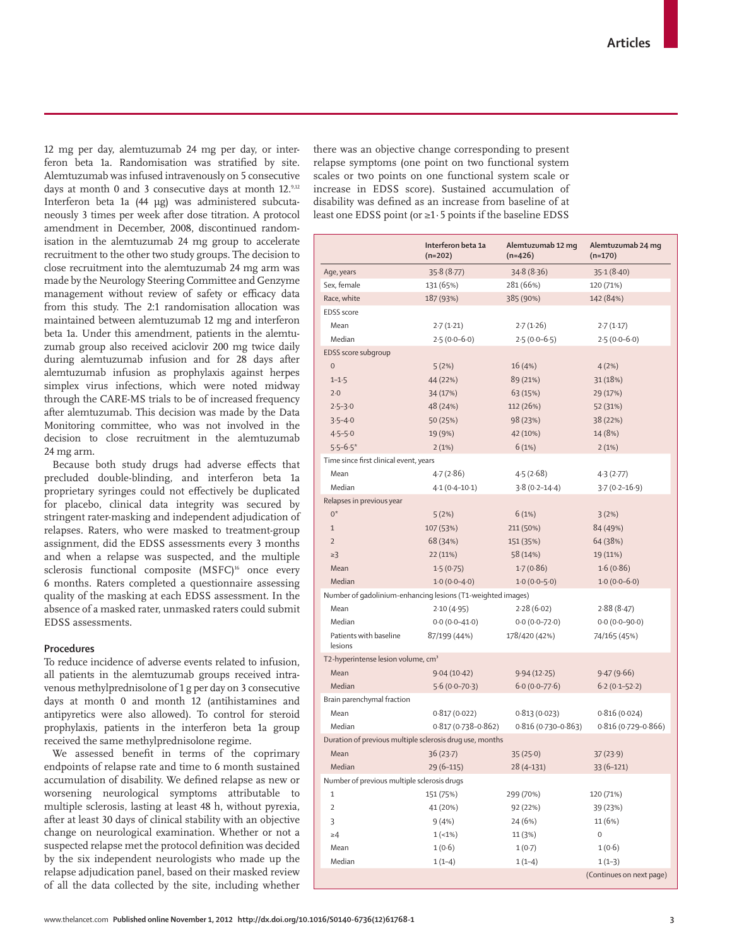12 mg per day, alemtuzumab 24 mg per day, or interferon beta 1a. Randomisation was stratified by site. Alemtuzumab was infused intravenously on 5 consecutive days at month 0 and 3 consecutive days at month 12.<sup>9,12</sup> Interferon beta 1a (44 μg) was administered subcutaneously 3 times per week after dose titration. A protocol amendment in December, 2008, discontinued randomisation in the alemtuzumab 24 mg group to accelerate recruitment to the other two study groups. The decision to close recruitment into the alemtuzumab 24 mg arm was made by the Neurology Steering Committee and Genzyme management without review of safety or efficacy data from this study. The 2:1 randomisation allocation was maintained between alemtuzumab 12 mg and interferon beta 1a. Under this amendment, patients in the alemtuzumab group also received aciclovir 200 mg twice daily during alemtuzumab infusion and for 28 days after alemtuzumab infusion as prophylaxis against herpes simplex virus infections, which were noted midway through the CARE-MS trials to be of increased frequency after alemtuzumab. This decision was made by the Data Monitoring committee, who was not involved in the decision to close recruitment in the alemtuzumab 24 mg arm.

Because both study drugs had adverse effects that precluded double-blinding, and interferon beta 1a proprietary syringes could not effectively be duplicated for placebo, clinical data integrity was secured by stringent rater-masking and independent adjudication of relapses. Raters, who were masked to treatment-group assignment, did the EDSS assessments every 3 months and when a relapse was suspected, and the multiple sclerosis functional composite (MSFC)<sup>16</sup> once every 6 months. Raters completed a questionnaire assessing quality of the masking at each EDSS assessment. In the absence of a masked rater, unmasked raters could submit EDSS assessments.

# **Procedures**

To reduce incidence of adverse events related to infusion, all patients in the alemtuzumab groups received intravenous methylprednisolone of 1 g per day on 3 consecutive days at month 0 and month 12 (antihistamines and antipyretics were also allowed). To control for steroid prophylaxis, patients in the interferon beta 1a group received the same methylprednisolone regime.

We assessed benefit in terms of the coprimary endpoints of relapse rate and time to 6 month sustained accumulation of disability. We defined relapse as new or worsening neurological symptoms attributable to multiple sclerosis, lasting at least 48 h, without pyrexia, after at least 30 days of clinical stability with an objective change on neurological examination. Whether or not a suspected relapse met the protocol definition was decided by the six independent neurologists who made up the relapse adjudication panel, based on their masked review of all the data collected by the site, including whether there was an objective change corresponding to present relapse symptoms (one point on two functional system scales or two points on one functional system scale or increase in EDSS score). Sustained accumulation of disability was defined as an increase from baseline of at least one EDSS point (or ≥1·5 points if the baseline EDSS

|                                                             | Interferon beta 1a<br>$(n=202)$ | Alemtuzumab 12 mg<br>$(n=426)$ | Alemtuzumab 24 mg<br>$(n=170)$ |  |
|-------------------------------------------------------------|---------------------------------|--------------------------------|--------------------------------|--|
| Age, years                                                  | 35.8(8.77)                      | 34.8(8.36)                     | 35.1(8.40)                     |  |
| Sex, female                                                 | 131 (65%)                       | 281 (66%)                      | 120 (71%)                      |  |
| Race, white                                                 | 187 (93%)                       | 385 (90%)                      | 142 (84%)                      |  |
| <b>EDSS</b> score                                           |                                 |                                |                                |  |
| Mean                                                        | 2.7(1.21)                       | 2.7(1.26)                      | 2.7(1.17)                      |  |
| Median                                                      | $2.5(0.0-6.0)$                  | $2.5(0.0-6.5)$                 | $2.5(0.0-6.0)$                 |  |
| EDSS score subgroup                                         |                                 |                                |                                |  |
| $\bf 0$                                                     | 5(2%)                           | 16 (4%)                        | 4(2%)                          |  |
| $1 - 1.5$                                                   | 44 (22%)                        | 89 (21%)                       | 31(18%)                        |  |
| 2.0                                                         | 34 (17%)                        | 63 (15%)                       | 29 (17%)                       |  |
| $2.5 - 3.0$                                                 | 48 (24%)                        | 112 (26%)                      | 52 (31%)                       |  |
| $3.5 - 4.0$                                                 | 50 (25%)                        | 98 (23%)                       | 38 (22%)                       |  |
| $4.5 - 5.0$                                                 | 19 (9%)                         | 42 (10%)                       | 14 (8%)                        |  |
| $5.5 - 6.5*$                                                | 2(1%)                           | 6(1%)                          | 2(1%)                          |  |
| Time since first clinical event, years                      |                                 |                                |                                |  |
| Mean                                                        | 4.7(2.86)                       | 4.5(2.68)                      | 4.3(2.77)                      |  |
| Median                                                      | $4.1(0.4 - 10.1)$               | $3.8(0.2 - 14.4)$              | $3.7(0.2 - 16.9)$              |  |
| Relapses in previous year                                   |                                 |                                |                                |  |
| $0^*$                                                       | 5(2%)                           | 6(1%)                          | 3(2%)                          |  |
| $1\,$                                                       | 107 (53%)                       | 211 (50%)                      | 84 (49%)                       |  |
| $\overline{2}$                                              | 68 (34%)                        | 151 (35%)                      | 64 (38%)                       |  |
| $\geq$ 3                                                    | 22 (11%)                        | 58 (14%)                       | 19 (11%)                       |  |
| Mean                                                        | 1.5(0.75)                       | 1.7(0.86)                      | 1.6(0.86)                      |  |
| Median                                                      | $1.0(0.0-4.0)$                  | $1.0(0.0-5.0)$                 | $1.0(0.0-6.0)$                 |  |
| Number of gadolinium-enhancing lesions (T1-weighted images) |                                 |                                |                                |  |
| Mean                                                        | 2.10(4.95)                      | 2.28(6.02)                     | 2.88(8.47)                     |  |
| Median                                                      | $0.0(0.0-41.0)$                 | $0.0(0.0-72.0)$                | $0.0(0.0-90.0)$                |  |
| Patients with baseline<br>lesions                           | 87/199 (44%)                    | 178/420 (42%)                  | 74/165 (45%)                   |  |
| T2-hyperintense lesion volume, cm <sup>3</sup>              |                                 |                                |                                |  |
| Mean                                                        | 9.04(10.42)                     | 9.94(12.25)                    | 9.47(9.66)                     |  |
| Median                                                      | $5.6(0.0-70.3)$                 | $6.0(0.0-77.6)$                | $6.2(0.1-52.2)$                |  |
| Brain parenchymal fraction                                  |                                 |                                |                                |  |
| Mean                                                        | 0.817(0.022)                    | 0.813(0.023)                   | 0.816(0.024)                   |  |
| Median                                                      | $0.817(0.738 - 0.862)$          | $0.816(0.730 - 0.863)$         | $0.816(0.729 - 0.866)$         |  |
| Duration of previous multiple sclerosis drug use, months    |                                 |                                |                                |  |
| Mean                                                        | 36(23.7)                        | 35(25.0)                       | 37(23.9)                       |  |
| Median                                                      | $29(6-115)$                     | $28(4-131)$                    | $33(6-121)$                    |  |
| Number of previous multiple sclerosis drugs                 |                                 |                                |                                |  |
| $\mathbf{1}$                                                | 151 (75%)                       | 299 (70%)                      | 120 (71%)                      |  |
| $\overline{2}$                                              | 41 (20%)                        | 92 (22%)                       | 39 (23%)                       |  |
| 3                                                           | 9(4%)                           | 24 (6%)                        | 11 (6%)                        |  |
| $\geq 4$                                                    | $1(-1%)$                        | 11 (3%)                        | 0                              |  |
| Mean                                                        | 1(0.6)                          | 1(0.7)                         | 1(0.6)                         |  |
| Median                                                      | $1(1-4)$                        | $1(1-4)$                       | $1(1-3)$                       |  |
|                                                             |                                 |                                | (Continues on next page)       |  |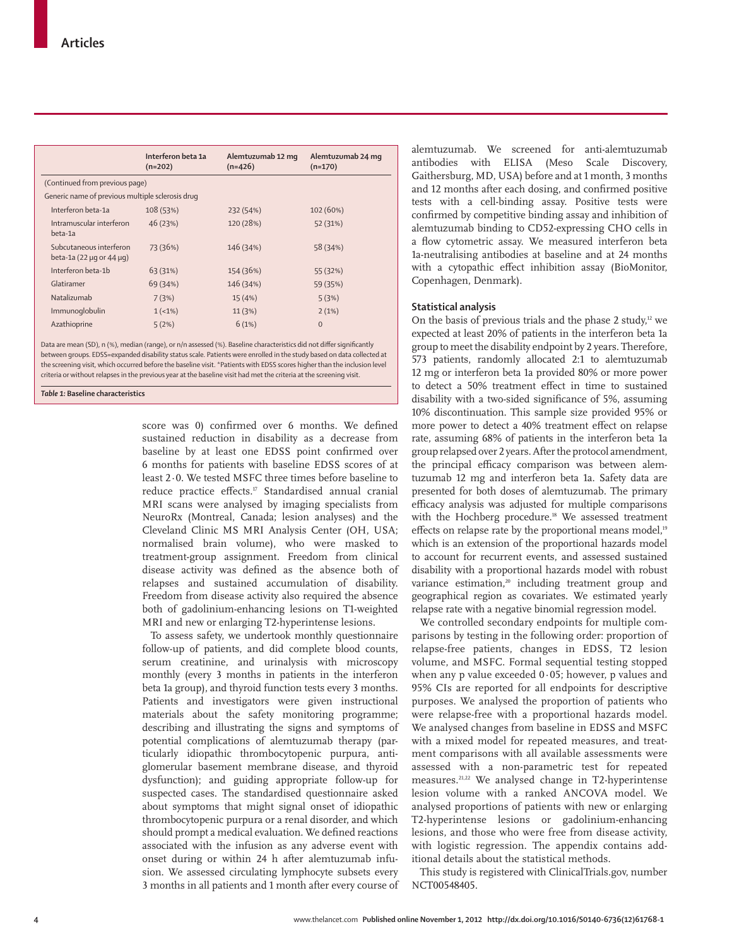|                                                  |                                                               | Interferon beta 1a<br>$(n=202)$ | Alemtuzumab 12 mg<br>$(n=426)$ | Alemtuzumab 24 mg<br>$(n=170)$ |  |
|--------------------------------------------------|---------------------------------------------------------------|---------------------------------|--------------------------------|--------------------------------|--|
|                                                  | (Continued from previous page)                                |                                 |                                |                                |  |
| Generic name of previous multiple sclerosis drug |                                                               |                                 |                                |                                |  |
|                                                  | Interferon beta-1a                                            | 108(53%)                        | 232 (54%)                      | 102 (60%)                      |  |
|                                                  | Intramuscular interferon<br>beta-1a                           | 46 (23%)                        | 120 (28%)                      | 52 (31%)                       |  |
|                                                  | Subcutaneous interferon<br>beta-1a (22 $\mu$ g or 44 $\mu$ g) | 73 (36%)                        | 146 (34%)                      | 58 (34%)                       |  |
|                                                  | Interferon beta-1b                                            | 63 (31%)                        | 154 (36%)                      | 55 (32%)                       |  |
|                                                  | Glatiramer                                                    | 69 (34%)                        | 146 (34%)                      | 59 (35%)                       |  |
|                                                  | Natalizumab                                                   | 7(3%)                           | 15(4%)                         | 5(3%)                          |  |
|                                                  | Immunoqlobulin                                                | $1 (-1\%)$                      | 11(3%)                         | 2(1%)                          |  |
|                                                  | Azathioprine                                                  | 5(2%)                           | 6(1%)                          | $\Omega$                       |  |
|                                                  |                                                               |                                 |                                |                                |  |

Data are mean (SD), n (%), median (range), or n/n assessed (%). Baseline characteristics did not differ significantly between groups. EDSS=expanded disability status scale. Patients were enrolled in the study based on data collected at the screening visit, which occurred before the baseline visit. \*Patients with EDSS scores higher than the inclusion level criteria or without relapses in the previous year at the baseline visit had met the criteria at the screening visit.

### *Table 1:* **Baseline characteristics**

score was 0) confirmed over 6 months. We defined sustained reduction in disability as a decrease from baseline by at least one EDSS point confirmed over 6 months for patients with baseline EDSS scores of at least 2·0. We tested MSFC three times before baseline to reduce practice effects.<sup>17</sup> Standardised annual cranial MRI scans were analysed by imaging specialists from NeuroRx (Montreal, Canada; lesion analyses) and the Cleveland Clinic MS MRI Analysis Center (OH, USA; normalised brain volume), who were masked to treatment-group assignment. Freedom from clinical disease activity was defined as the absence both of relapses and sustained accumulation of disability. Freedom from disease activity also required the absence both of gadolinium-enhancing lesions on T1-weighted MRI and new or enlarging T2-hyperintense lesions.

To assess safety, we undertook monthly questionnaire follow-up of patients, and did complete blood counts, serum creatinine, and urinalysis with microscopy monthly (every 3 months in patients in the interferon beta 1a group), and thyroid function tests every 3 months. Patients and investigators were given instructional materials about the safety monitoring programme; describing and illustrating the signs and symptoms of potential complications of alemtuzumab therapy (particularly idiopathic thrombocytopenic purpura, antiglomerular basement membrane disease, and thyroid dysfunction); and guiding appropriate follow-up for suspected cases. The standardised questionnaire asked about symptoms that might signal onset of idiopathic thrombocytopenic purpura or a renal disorder, and which should prompt a medical evaluation. We defined reactions associated with the infusion as any adverse event with onset during or within 24 h after alemtuzumab infusion. We assessed circulating lymphocyte subsets every 3 months in all patients and 1 month after every course of alemtuzumab. We screened for anti-alemtuzumab antibodies with ELISA (Meso Scale Discovery, Gaithersburg, MD, USA) before and at 1 month, 3 months and 12 months after each dosing, and confirmed positive tests with a cell-binding assay. Positive tests were confirmed by competitive binding assay and inhibition of alemtuzumab binding to CD52-expressing CHO cells in a flow cytometric assay. We measured interferon beta 1a-neutralising antibodies at baseline and at 24 months with a cytopathic effect inhibition assay (BioMonitor, Copenhagen, Denmark).

## **Statistical analysis**

On the basis of previous trials and the phase 2 study, $u$ <sup>2</sup> we expected at least 20% of patients in the interferon beta 1a group to meet the disability endpoint by 2 years. Therefore, 573 patients, randomly allocated 2:1 to alemtuzumab 12 mg or interferon beta 1a provided 80% or more power to detect a 50% treatment effect in time to sustained disability with a two-sided significance of 5%, assuming 10% discontinuation. This sample size provided 95% or more power to detect a 40% treatment effect on relapse rate, assuming 68% of patients in the interferon beta 1a group relapsed over 2 years. After the protocol amendment, the principal efficacy comparison was between alemtuzumab 12 mg and interferon beta 1a. Safety data are presented for both doses of alemtuzumab. The primary efficacy analysis was adjusted for multiple comparisons with the Hochberg procedure.<sup>18</sup> We assessed treatment effects on relapse rate by the proportional means model,<sup>19</sup> which is an extension of the proportional hazards model to account for recurrent events, and assessed sustained disability with a proportional hazards model with robust variance estimation,<sup>20</sup> including treatment group and geographical region as covariates. We estimated yearly relapse rate with a negative binomial regression model.

We controlled secondary endpoints for multiple comparisons by testing in the following order: proportion of relapse-free patients, changes in EDSS, T2 lesion volume, and MSFC. Formal sequential testing stopped when any p value exceeded 0·05; however, p values and 95% CIs are reported for all endpoints for descriptive purposes. We analysed the proportion of patients who were relapse-free with a proportional hazards model. We analysed changes from baseline in EDSS and MSFC with a mixed model for repeated measures, and treatment comparisons with all available assessments were assessed with a non-parametric test for repeated measures.21,22 We analysed change in T2-hyperintense lesion volume with a ranked ANCOVA model. We analysed proportions of patients with new or enlarging T2-hyperintense lesions or gadolinium-enhancing lesions, and those who were free from disease activity, with logistic regression. The appendix contains additional details about the statistical methods.

This study is registered with ClinicalTrials.gov, number NCT00548405.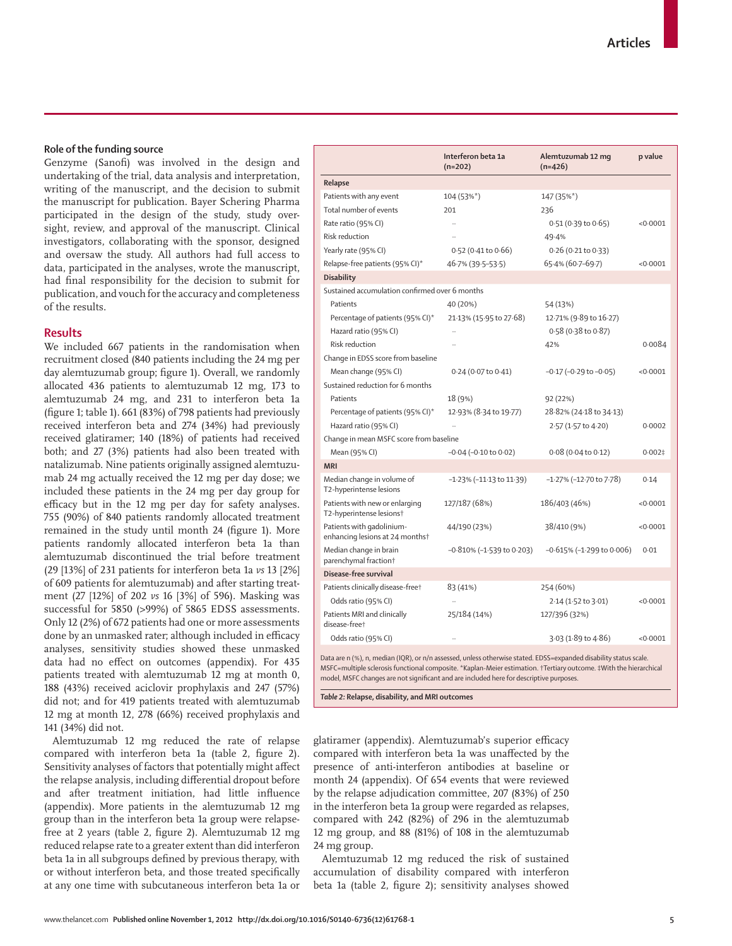# **Role of the funding source**

Genzyme (Sanofi) was involved in the design and undertaking of the trial, data analysis and interpretation, writing of the manuscript, and the decision to submit the manuscript for publication. Bayer Schering Pharma participated in the design of the study, study oversight, review, and approval of the manuscript. Clinical investigators, collaborating with the sponsor, designed and oversaw the study. All authors had full access to data, participated in the analyses, wrote the manuscript, had final responsibility for the decision to submit for publication, and vouch for the accuracy and completeness of the results.

# **Results**

We included 667 patients in the randomisation when recruitment closed (840 patients including the 24 mg per day alemtuzumab group; figure 1). Overall, we randomly allocated 436 patients to alemtuzumab 12 mg, 173 to alemtuzumab 24 mg, and 231 to interferon beta 1a (figure 1; table 1). 661 (83%) of 798 patients had previously received interferon beta and 274 (34%) had previously received glatiramer; 140 (18%) of patients had received both; and 27 (3%) patients had also been treated with natalizumab. Nine patients originally assigned alemtuzumab 24 mg actually received the 12 mg per day dose; we included these patients in the 24 mg per day group for efficacy but in the 12 mg per day for safety analyses. 755 (90%) of 840 patients randomly allocated treatment remained in the study until month 24 (figure 1). More patients randomly allocated interferon beta 1a than alemtuzumab discontinued the trial before treatment (29 [13%] of 231 patients for interferon beta 1a *vs* 13 [2%] of 609 patients for alemtuzumab) and after starting treat ment (27 [12%] of 202 *vs* 16 [3%] of 596). Masking was successful for 5850 (>99%) of 5865 EDSS assessments. Only 12 (2%) of 672 patients had one or more assessments done by an unmasked rater; although included in efficacy analyses, sensitivity studies showed these unmasked data had no effect on outcomes (appendix). For 435 patients treated with alemtuzumab 12 mg at month 0, 188 (43%) received aciclovir prophylaxis and 247 (57%) did not; and for 419 patients treated with alemtuzumab 12 mg at month 12, 278 (66%) received prophylaxis and 141 (34%) did not.

Alemtuzumab 12 mg reduced the rate of relapse compared with interferon beta 1a (table 2, figure 2). Sensitivity analyses of factors that potentially might affect the relapse analysis, including differential dropout before and after treatment initiation, had little influence (appendix). More patients in the alemtuzumab 12 mg group than in the interferon beta 1a group were relapsefree at 2 years (table 2, figure 2). Alemtuzumab 12 mg reduced relapse rate to a greater extent than did interferon beta 1a in all subgroups defined by previous therapy, with or without interferon beta, and those treated specifically at any one time with subcutaneous interferon beta 1a or

|                                                                                                                                                                                                                                                                                                                                   | Interferon beta 1a<br>$(n=202)$   | Alemtuzumab 12 mg<br>$(n=426)$ | p value   |
|-----------------------------------------------------------------------------------------------------------------------------------------------------------------------------------------------------------------------------------------------------------------------------------------------------------------------------------|-----------------------------------|--------------------------------|-----------|
| Relapse                                                                                                                                                                                                                                                                                                                           |                                   |                                |           |
| Patients with any event                                                                                                                                                                                                                                                                                                           | 104 (53%*)                        | 147 (35%*)                     |           |
| Total number of events                                                                                                                                                                                                                                                                                                            | 201                               | 236                            |           |
| Rate ratio (95% CI)                                                                                                                                                                                                                                                                                                               | $\ddot{\phantom{a}}$              | $0.51(0.39 \text{ to } 0.65)$  | < 0.0001  |
| <b>Risk reduction</b>                                                                                                                                                                                                                                                                                                             |                                   | 49.4%                          |           |
| Yearly rate (95% CI)                                                                                                                                                                                                                                                                                                              | $0.52$ (0.41 to 0.66)             | $0.26$ (0.21 to 0.33)          |           |
| Relapse-free patients (95% CI)*                                                                                                                                                                                                                                                                                                   | 46.7% (39.5–53.5)                 | 65.4% (60.7-69.7)              | < 0.0001  |
| <b>Disability</b>                                                                                                                                                                                                                                                                                                                 |                                   |                                |           |
| Sustained accumulation confirmed over 6 months                                                                                                                                                                                                                                                                                    |                                   |                                |           |
| Patients                                                                                                                                                                                                                                                                                                                          | 40 (20%)                          | 54 (13%)                       |           |
| Percentage of patients (95% CI)*                                                                                                                                                                                                                                                                                                  | 21.13% (15.95 to 27.68)           | 12.71% (9.89 to 16.27)         |           |
| Hazard ratio (95% CI)                                                                                                                                                                                                                                                                                                             |                                   | $0.58(0.38 \text{ to } 0.87)$  |           |
| Risk reduction                                                                                                                                                                                                                                                                                                                    |                                   | 42%                            | 0.0084    |
| Change in EDSS score from baseline                                                                                                                                                                                                                                                                                                |                                   |                                |           |
| Mean change (95% CI)                                                                                                                                                                                                                                                                                                              | $0.24$ (0.07 to $0.41$ )          | $-0.17$ ( $-0.29$ to $-0.05$ ) | < 0.0001  |
| Sustained reduction for 6 months                                                                                                                                                                                                                                                                                                  |                                   |                                |           |
| Patients                                                                                                                                                                                                                                                                                                                          | 18 (9%)                           | 92 (22%)                       |           |
| Percentage of patients (95% CI)*                                                                                                                                                                                                                                                                                                  | 12.93% (8.34 to 19.77)            | 28.82% (24.18 to 34.13)        |           |
| Hazard ratio (95% CI)                                                                                                                                                                                                                                                                                                             |                                   | 2.57 (1.57 to 4.20)            | 0.0002    |
| Change in mean MSFC score from baseline                                                                                                                                                                                                                                                                                           |                                   |                                |           |
| Mean (95% CI)                                                                                                                                                                                                                                                                                                                     | $-0.04$ ( $-0.10$ to $0.02$ )     | $0.08$ (0.04 to 0.12)          | $0.002$ ‡ |
| <b>MRI</b>                                                                                                                                                                                                                                                                                                                        |                                   |                                |           |
| Median change in volume of<br>T2-hyperintense lesions                                                                                                                                                                                                                                                                             | $-1.23\%$ ( $-11.13$ to $11.39$ ) | -1.27% (-12.70 to 7.78)        | 0.14      |
| Patients with new or enlarging<br>T2-hyperintense lesions†                                                                                                                                                                                                                                                                        | 127/187 (68%)                     | 186/403 (46%)                  | < 0.0001  |
| Patients with gadolinium-<br>enhancing lesions at 24 monthst                                                                                                                                                                                                                                                                      | 44/190 (23%)                      | 38/410 (9%)                    | < 0.0001  |
| Median change in brain<br>parenchymal fraction <sup>†</sup>                                                                                                                                                                                                                                                                       | $-0.810\%$ (-1.539 to 0.203)      | $-0.615\%$ (-1.299 to 0.006)   | 0.01      |
| Disease-free survival                                                                                                                                                                                                                                                                                                             |                                   |                                |           |
| Patients clinically disease-freet                                                                                                                                                                                                                                                                                                 | 83 (41%)                          | 254 (60%)                      |           |
| Odds ratio (95% CI)                                                                                                                                                                                                                                                                                                               | $\ddot{\phantom{a}}$              | 2.14 (1.52 to 3.01)            | < 0.0001  |
| Patients MRI and clinically<br>disease-free+                                                                                                                                                                                                                                                                                      | 25/184 (14%)                      | 127/396 (32%)                  |           |
| Odds ratio (95% CI)                                                                                                                                                                                                                                                                                                               |                                   | 3.03 (1.89 to 4.86)            | < 0.0001  |
| Data are n (%), n, median (IQR), or n/n assessed, unless otherwise stated. EDSS=expanded disability status scale.<br>MSFC=multiple sclerosis functional composite. *Kaplan-Meier estimation. †Tertiary outcome. #With the hierarchical<br>model, MSFC changes are not significant and are included here for descriptive purposes. |                                   |                                |           |

*Table 2:* **Relapse, disability, and MRI outcomes**

glatiramer (appendix). Alemtuzumab's superior efficacy compared with interferon beta 1a was unaffected by the presence of anti-interferon antibodies at baseline or month 24 (appendix). Of 654 events that were reviewed by the relapse adjudication committee, 207 (83%) of 250 in the interferon beta 1a group were regarded as relapses, compared with 242 (82%) of 296 in the alemtuzumab 12 mg group, and 88 (81%) of 108 in the alemtuzumab 24 mg group.

Alemtuzumab 12 mg reduced the risk of sustained accumulation of disability compared with interferon beta 1a (table 2, figure 2); sensitivity analyses showed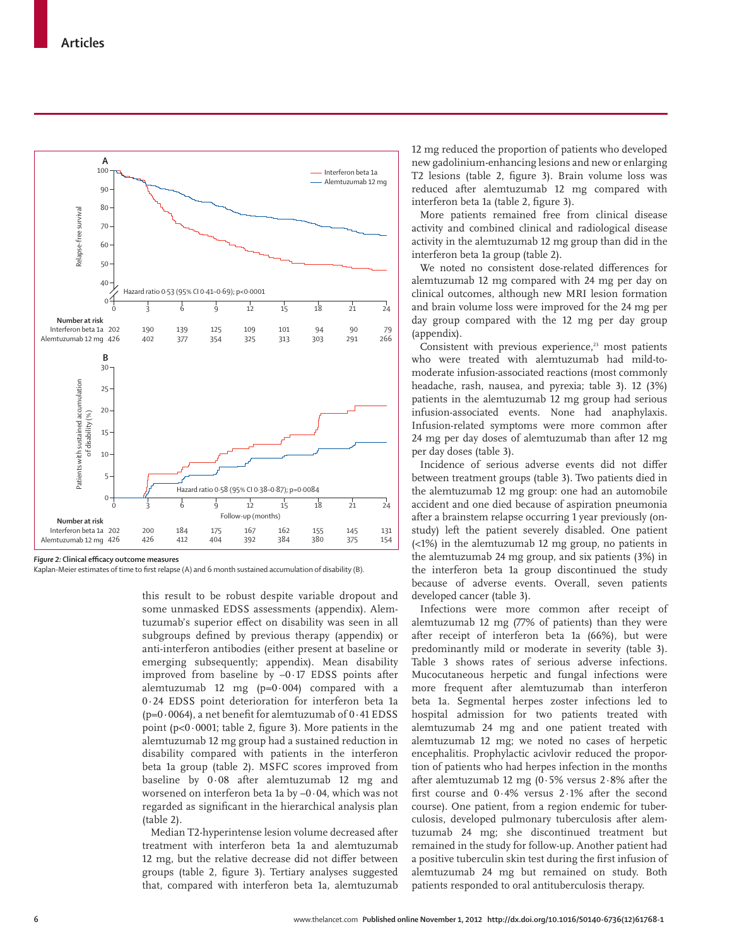

**Figure 2: Clinical efficacy outcome measures** 

Kaplan-Meier estimates of time to first relapse (A) and 6 month sustained accumulation of disability (B).

this result to be robust despite variable dropout and some unmasked EDSS assessments (appendix). Alemtuzumab's superior effect on disability was seen in all subgroups defined by previous therapy (appendix) or anti-interferon antibodies (either present at baseline or emerging subsequently; appendix). Mean disability improved from baseline by  $-0.17$  EDSS points after alemtuzumab 12 mg ( $p=0.004$ ) compared with a 0·24 EDSS point deterioration for interferon beta 1a ( $p=0.0064$ ), a net benefit for alemtuzumab of  $0.41$  EDSS point (p<0 $\cdot$ 0001; table 2, figure 3). More patients in the alemtuzumab 12 mg group had a sustained reduction in disability compared with patients in the interferon beta 1a group (table 2). MSFC scores improved from baseline by 0·08 after alemtuzumab 12 mg and worsened on interferon beta 1a by –0·04, which was not regarded as significant in the hierarchical analysis plan (table 2).

Median T2-hyperintense lesion volume decreased after treatment with interferon beta 1a and alemtuzumab 12 mg, but the relative decrease did not differ between groups (table 2, figure 3). Tertiary analyses suggested that, compared with interferon beta 1a, alemtuzumab

12 mg reduced the proportion of patients who developed new gadolinium-enhancing lesions and new or enlarging T2 lesions (table 2, figure 3). Brain volume loss was reduced after alemtuzumab 12 mg compared with interferon beta 1a (table 2, figure 3).

More patients remained free from clinical disease activity and combined clinical and radiological disease activity in the alemtuzumab 12 mg group than did in the interferon beta 1a group (table 2).

We noted no consistent dose-related differences for alemtuzumab 12 mg compared with 24 mg per day on clinical outcomes, although new MRI lesion formation and brain volume loss were improved for the 24 mg per day group compared with the 12 mg per day group (appendix).

Consistent with previous experience,<sup>23</sup> most patients who were treated with alemtuzumab had mild-tomoderate infusion-associated reactions (most commonly headache, rash, nausea, and pyrexia; table 3). 12 (3%) patients in the alemtuzumab 12 mg group had serious infusion-associated events. None had anaphylaxis. Infusion-related symptoms were more common after 24 mg per day doses of alemtuzumab than after 12 mg per day doses (table 3).

Incidence of serious adverse events did not differ between treatment groups (table 3). Two patients died in the alemtuzumab 12 mg group: one had an automobile accident and one died because of aspiration pneumonia after a brainstem relapse occurring 1 year previously (onstudy) left the patient severely disabled. One patient (<1%) in the alemtuzumab 12 mg group, no patients in the alemtuzumab 24 mg group, and six patients (3%) in the interferon beta 1a group discontinued the study because of adverse events. Overall, seven patients developed cancer (table 3).

Infections were more common after receipt of alemtuzumab 12 mg (77% of patients) than they were after receipt of interferon beta 1a (66%), but were predominantly mild or moderate in severity (table 3). Table 3 shows rates of serious adverse infections. Mucocutaneous herpetic and fungal infections were more frequent after alemtuzumab than interferon beta 1a. Segmental herpes zoster infections led to hospital admission for two patients treated with alemtuzumab 24 mg and one patient treated with alemtuzumab 12 mg; we noted no cases of herpetic encephalitis. Prophylactic acivlovir reduced the proportion of patients who had herpes infection in the months after alemtuzumab 12 mg (0 $\cdot$  5% versus 2 $\cdot$ 8% after the first course and  $0.4\%$  versus  $2.1\%$  after the second course). One patient, from a region endemic for tuberculosis, developed pulmonary tuberculosis after alemtuzumab 24 mg; she discontinued treatment but remained in the study for follow-up. Another patient had a positive tuberculin skin test during the first infusion of alemtuzumab 24 mg but remained on study. Both patients responded to oral antituberculosis therapy.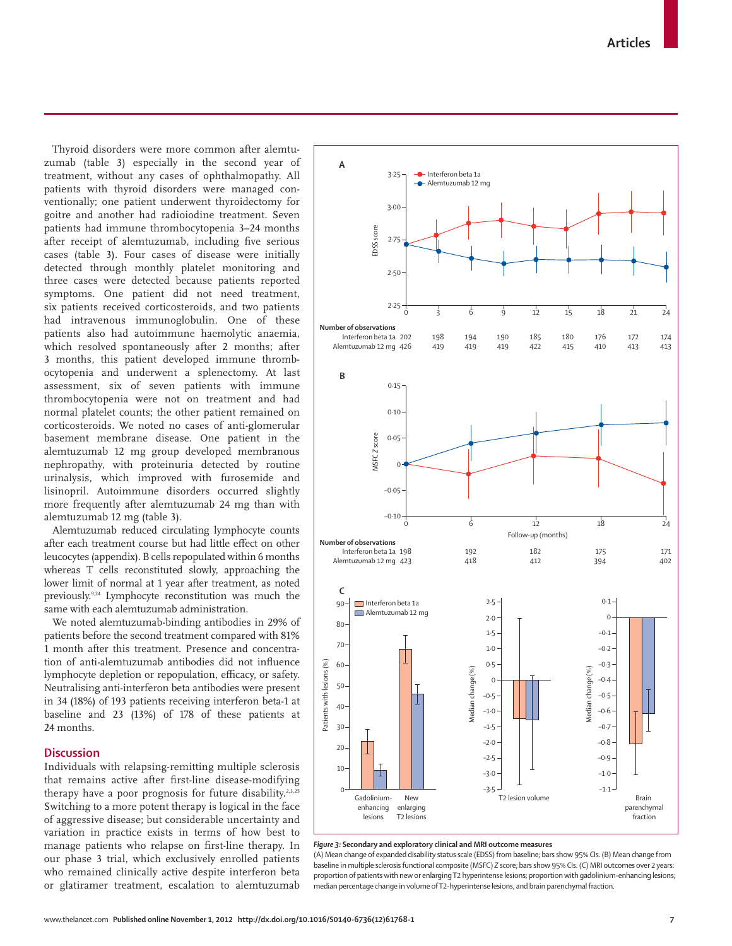Thyroid disorders were more common after alemtuzumab (table 3) especially in the second year of treatment, without any cases of ophthalmopathy. All patients with thyroid disorders were managed conventionally; one patient underwent thyroidectomy for goitre and another had radioiodine treatment. Seven patients had immune thrombocytopenia 3-24 months after receipt of alemtuzumab, including five serious cases (table 3). Four cases of disease were initially detected through monthly platelet monitoring and three cases were detected because patients reported symptoms. One patient did not need treatment, six patients received corticosteroids, and two patients had intravenous immunoglobulin. One of these patients also had autoimmune haemolytic anaemia, which resolved spontaneously after 2 months; after 3 months, this patient developed immune thrombocytopenia and underwent a splenectomy. At last assessment, six of seven patients with immune thrombo cytopenia were not on treatment and had normal platelet counts; the other patient remained on corticosteroids. We noted no cases of anti-glomerular basement membrane disease. One patient in the alemtuzumab 12 mg group developed membranous nephropathy, with proteinuria detected by routine urinalysis, which improved with furosemide and lisinopril. Autoimmune disorders occurred slightly more frequently after alemtuzumab 24 mg than with alemtuzumab 12 mg (table 3).

Alemtuzumab reduced circulating lymphocyte counts after each treatment course but had little effect on other leucocytes (appendix). B cells repopulated within 6 months whereas T cells reconstituted slowly, approaching the lower limit of normal at 1 year after treatment, as noted previously.9,24 Lymphocyte reconstitution was much the same with each alemtuzumab administration.

We noted alemtuzumab-binding antibodies in 29% of patients before the second treatment compared with 81% 1 month after this treatment. Presence and concentration of anti-alemtuzumab antibodies did not influence lymphocyte depletion or repopulation, efficacy, or safety. Neutralising anti-interferon beta antibodies were present in 34 (18%) of 193 patients receiving interferon beta-1 at baseline and 23 (13%) of 178 of these patients at 24 months.

# **Discussion**

Individuals with relapsing-remitting multiple sclerosis that remains active after first-line disease-modifying therapy have a poor prognosis for future disability.<sup>2,3,25</sup> Switching to a more potent therapy is logical in the face of aggressive disease; but considerable uncertainty and variation in practice exists in terms of how best to manage patients who relapse on first-line therapy. In our phase 3 trial, which exclusively enrolled patients who remained clinically active despite interferon beta or glatiramer treatment, escalation to alemtuzumab



# *Figure 3:* **Secondary and exploratory clinical and MRI outcome measures**

(A) Mean change of expanded disability status scale (EDSS) from baseline; bars show 95% CIs. (B) Mean change from baseline in multiple sclerosis functional composite (MSFC) *Z* score; bars show 95% CIs. (C) MRI outcomes over 2 years: proportion of patients with new or enlarging T2 hyperintense lesions; proportion with gadolinium-enhancing lesions; median percentage change in volume of T2-hyperintense lesions, and brain parenchymal fraction.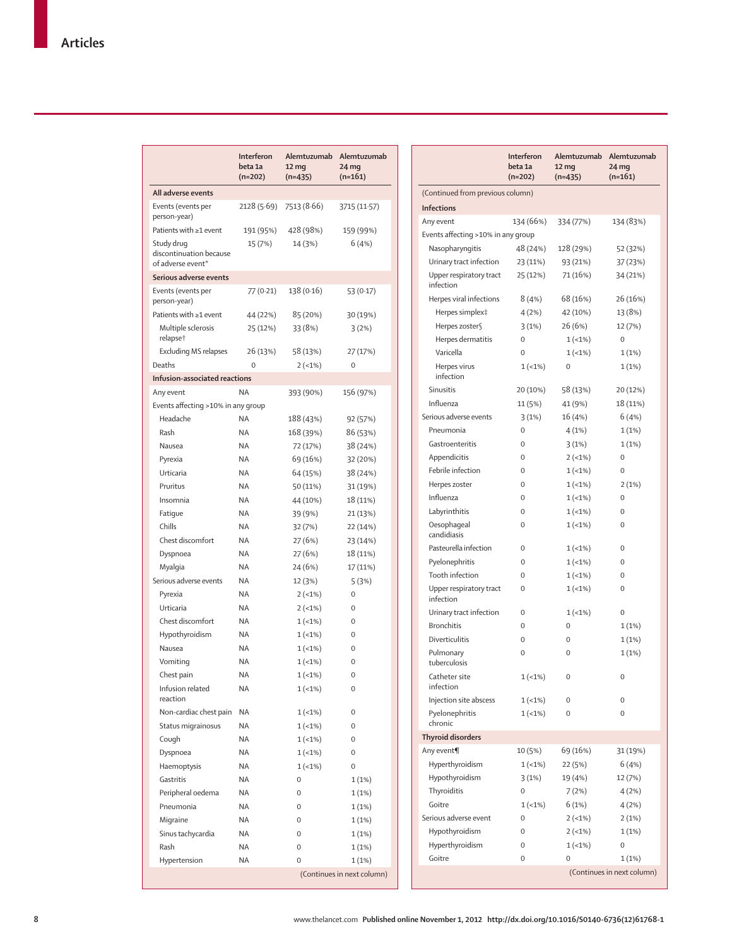|                                                            | Interferon<br>beta 1a<br>$(n=202)$ | Alemtuzumab<br>12 <sub>mg</sub><br>$(n=435)$ | Alemtuzumab<br>24 <sub>mg</sub><br>$(n=161)$ |
|------------------------------------------------------------|------------------------------------|----------------------------------------------|----------------------------------------------|
| All adverse events                                         |                                    |                                              |                                              |
| Events (events per<br>person-year)                         | 2128 (5.69)                        | 7513 (8.66)                                  | 3715 (11.57)                                 |
| Patients with ≥1 event                                     | 191 (95%)                          | 428 (98%)                                    | 159 (99%)                                    |
| Study drug<br>discontinuation because<br>of adverse event* | 15 (7%)                            | 14 (3%)                                      | 6 (4%)                                       |
| Serious adverse events                                     |                                    |                                              |                                              |
| Events (events per<br>person-year)                         | 77 (0.21)                          | 138 (0.16)                                   | 53 (0.17)                                    |
| Patients with ≥1 event                                     | 44 (22%)                           | 85 (20%)                                     | 30 (19%)                                     |
| Multiple sclerosis<br>relapse <sup>+</sup>                 | 25 (12%)                           | 33 (8%)                                      | 3(2%)                                        |
| <b>Excluding MS relapses</b>                               | 26 (13%)                           | 58 (13%)                                     | 27 (17%)                                     |
| Deaths                                                     | $\mathbf 0$                        | $2(-1%)$                                     | $\mathbf 0$                                  |
| Infusion-associated reactions                              |                                    |                                              |                                              |
| Any event                                                  | NA                                 | 393 (90%)                                    | 156 (97%)                                    |
| Events affecting >10% in any group                         |                                    |                                              |                                              |
| Headache                                                   | NA                                 | 188 (43%)                                    | 92 (57%)                                     |
| Rash                                                       | NA                                 | 168 (39%)                                    | 86 (53%)                                     |
| Nausea                                                     | NA                                 | 72 (17%)                                     | 38 (24%)                                     |
| Pyrexia                                                    | NA                                 | 69 (16%)                                     | 32 (20%)                                     |
| Urticaria                                                  | NA                                 | 64 (15%)                                     | 38 (24%)                                     |
| Pruritus                                                   | NA                                 | 50 (11%)                                     | 31 (19%)                                     |
| Insomnia                                                   | NA                                 | 44 (10%)                                     | 18 (11%)                                     |
| Fatigue                                                    | NA                                 | 39 (9%)                                      | 21 (13%)                                     |
| Chills                                                     | NA                                 | 32 (7%)                                      | 22 (14%)                                     |
| Chest discomfort                                           | NA                                 | 27(6%)                                       | 23 (14%)                                     |
| Dyspnoea                                                   | NA                                 | 27 (6%)                                      | 18 (11%)                                     |
| Myalgia                                                    | NA                                 | 24 (6%)                                      | 17 (11%)                                     |
| Serious adverse events                                     | NA                                 | 12 (3%)                                      | 5(3%)                                        |
| Pyrexia                                                    | NA                                 | $2(-1%)$                                     | 0                                            |
| Urticaria                                                  | NA                                 | $2(-1%)$                                     | 0                                            |
| Chest discomfort                                           | NA                                 | $1(-1%)$                                     | 0                                            |
| Hypothyroidism                                             | NA                                 | $1(-1%)$                                     | 0                                            |
| Nausea                                                     | NA                                 | $1(-1%)$                                     | 0                                            |
| Vomiting                                                   | NA                                 | $1(-1%)$                                     | 0                                            |
| Chest pain                                                 | NA                                 | $1(-1%)$                                     | 0                                            |
| Infusion related<br>reaction                               | ΝA                                 | $1(-1%)$                                     | 0                                            |
| Non-cardiac chest pain                                     | ΝA                                 | $1(-1%)$                                     | 0                                            |
| Status migrainosus                                         | ΝA                                 | $1(-1%)$                                     | 0                                            |
| Cough                                                      | ΝA                                 | $1(-1%)$                                     | 0                                            |
| Dyspnoea                                                   | ΝA                                 | $1(-1%)$                                     | 0                                            |
| Haemoptysis                                                | ΝA                                 | $1(-1%)$                                     | 0                                            |
| Gastritis                                                  | ΝA                                 | 0                                            | 1(1%)                                        |
| Peripheral oedema                                          | ΝA                                 | 0                                            | 1(1%)                                        |
| Pneumonia                                                  | <b>ΝΑ</b>                          | 0                                            | 1(1%)                                        |
| Migraine                                                   | ΝA                                 | 0                                            | 1(1%)                                        |
| Sinus tachycardia                                          | ΝA                                 | 0                                            | 1(1%)                                        |
| Rash                                                       | <b>NA</b>                          | 0                                            | 1(1%)                                        |
| Hypertension                                               | ΝA                                 | 0                                            | 1(1%)                                        |
|                                                            |                                    |                                              | (Continues in next column)                   |

|                                      | Interferon<br>beta 1a<br>$(n=202)$ | Alemtuzumab<br>12 <sub>mg</sub><br>$(n=435)$ | Alemtuzumab<br>24 <sub>mg</sub><br>$(n=161)$ |
|--------------------------------------|------------------------------------|----------------------------------------------|----------------------------------------------|
| (Continued from previous column)     |                                    |                                              |                                              |
| <b>Infections</b>                    |                                    |                                              |                                              |
| Any event                            | 134 (66%)                          | 334 (77%)                                    | 134 (83%)                                    |
| Events affecting >10% in any group   |                                    |                                              |                                              |
| Nasopharyngitis                      | 48 (24%)                           | 128 (29%)                                    | 52 (32%)                                     |
| Urinary tract infection              | 23 (11%)                           | 93 (21%)                                     | 37 (23%)                                     |
| Upper respiratory tract<br>infection | 25 (12%)                           | 71 (16%)                                     | 34 (21%)                                     |
| Herpes viral infections              | 8(4%)                              | 68 (16%)                                     | 26 (16%)                                     |
| Herpes simplex‡                      | 4(2%)                              | 42 (10%)                                     | 13 (8%)                                      |
| Herpes zoster§                       | 3(1%)                              | 26 (6%)                                      | 12 (7%)                                      |
| Herpes dermatitis                    | 0                                  | $1(-1%)$                                     | 0                                            |
| Varicella                            | $\mathbf 0$                        | $1(-1%)$                                     | 1(1%)                                        |
| Herpes virus<br>infection            | $1(-1%)$                           | 0                                            | 1(1%)                                        |
| Sinusitis                            | 20 (10%)                           | 58 (13%)                                     | 20 (12%)                                     |
| Influenza                            | 11 (5%)                            | 41 (9%)                                      | 18 (11%)                                     |
| Serious adverse events               | 3(1%)                              | 16 (4%)                                      | 6(4%)                                        |
| Pneumonia                            | 0                                  | 4(1%)                                        | 1(1%)                                        |
| Gastroenteritis                      | 0                                  | 3(1%)                                        | 1(1%)                                        |
| Appendicitis                         | 0                                  | $2(-1%)$                                     | 0                                            |
| Febrile infection                    | 0                                  | $1(-1%)$                                     | $\Omega$                                     |
| Herpes zoster                        | 0                                  | $1(-1%)$                                     | 2(1%)                                        |
| Influenza                            | 0                                  | $1(-1%)$                                     | 0                                            |
| Labyrinthitis                        | 0                                  | $1(-1%)$                                     | 0                                            |
| Oesophaqeal                          | 0                                  | $1(-1%$                                      | 0                                            |
| candidiasis                          |                                    |                                              |                                              |
| Pasteurella infection                | 0                                  | $1(-1%)$                                     | 0                                            |
| Pyelonephritis                       | 0                                  | $1(-1%)$                                     | 0                                            |
| Tooth infection                      | 0                                  | $1(-1%)$                                     | 0                                            |
| Upper respiratory tract<br>infection | 0                                  | $1(-1%)$                                     | 0                                            |
| Urinary tract infection              | 0                                  | $1(-1%)$                                     | 0                                            |
| <b>Bronchitis</b>                    | 0                                  | 0                                            | 1(1%)                                        |
| Diverticulitis                       | 0                                  | 0                                            | 1(1%)                                        |
| Pulmonary<br>tuberculosis            | 0                                  | $\mathbf 0$                                  | 1(1%)                                        |
| Catheter site<br>infection           | $1(-1%)$                           | $\mathbf 0$                                  | 0                                            |
| Injection site abscess               | $1(-1%)$                           | 0                                            | 0                                            |
| Pyelonephritis<br>chronic            | $1(-1%)$                           | 0                                            | 0                                            |
| <b>Thyroid disorders</b>             |                                    |                                              |                                              |
| Any event¶                           | 10 (5%)                            | 69 (16%)                                     | 31 (19%)                                     |
| Hyperthyroidism                      | $1(-1%)$                           | 22 (5%)                                      | 6(4%)                                        |
| Hypothyroidism                       | 3(1%)                              | 19 (4%)                                      | 12 (7%)                                      |
| Thyroiditis                          | 0                                  | 7(2%)                                        | 4(2%)                                        |
| Goitre                               | $1(-1%)$                           | 6(1%)                                        | 4(2%)                                        |
| Serious adverse event                | 0                                  | $2(-1%)$                                     | 2(1%)                                        |
| Hypothyroidism                       | 0                                  | $2(-1%)$                                     | 1(1%)                                        |
| Hyperthyroidism                      | 0                                  | $1(-1%)$                                     | 0                                            |
| Goitre                               | 0                                  | 0                                            | 1(1%)                                        |
|                                      |                                    |                                              | (Continues in next column)                   |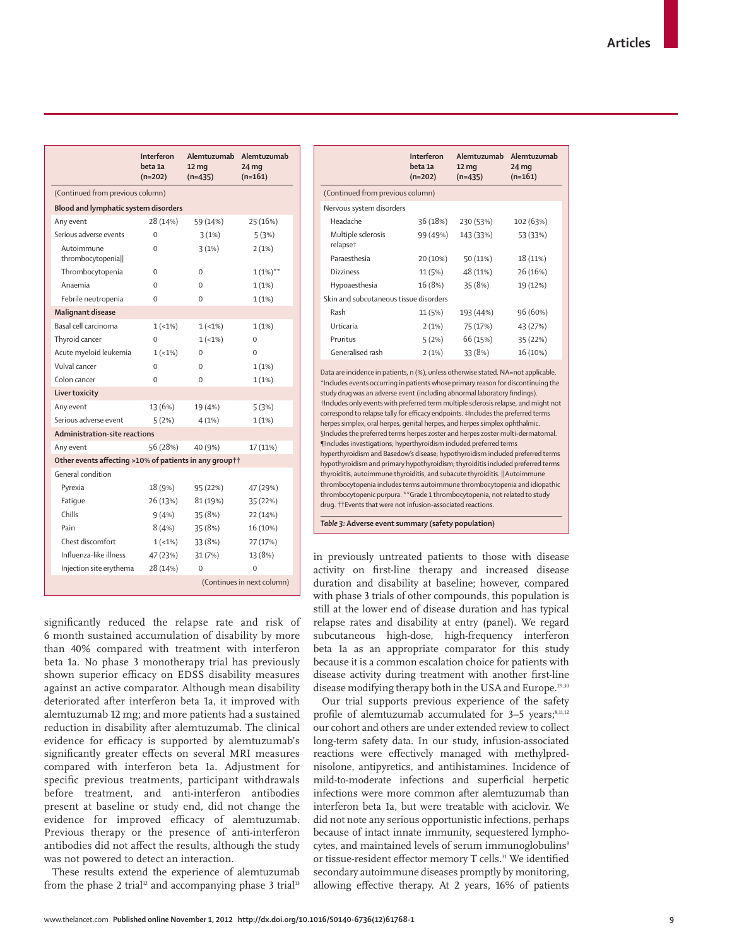|                                                        | Interferon<br>beta 1a<br>$(n=202)$ | Alemtuzumab<br>12 <sub>mg</sub><br>$(n=435)$ | Alemtuzumab<br>$24 \,\mathrm{mg}$<br>$(n=161)$ |  |  |
|--------------------------------------------------------|------------------------------------|----------------------------------------------|------------------------------------------------|--|--|
|                                                        | (Continued from previous column)   |                                              |                                                |  |  |
| Blood and lymphatic system disorders                   |                                    |                                              |                                                |  |  |
| Any event                                              | 28 (14%)                           | 59 (14%)                                     | 25 (16%)                                       |  |  |
| Serious adverse events                                 | $\Omega$                           | 3(1%)                                        | 5 (3%)                                         |  |  |
| Autoimmune<br>thrombocytopenia                         | $\Omega$                           | 3(1%)                                        | 2(1%)                                          |  |  |
| Thrombocytopenia                                       | $\Omega$                           | $\Omega$                                     | $1(1\%)**$                                     |  |  |
| Anaemia                                                | $\Omega$                           | $\Omega$                                     | 1(1%)                                          |  |  |
| Febrile neutropenia                                    | 0                                  | 0                                            | 1(1%)                                          |  |  |
| Malignant disease                                      |                                    |                                              |                                                |  |  |
| Basal cell carcinoma                                   | $1(-1%)$                           | $1(-1%)$                                     | 1(1%)                                          |  |  |
| Thyroid cancer                                         | $\Omega$                           | $1(-1%)$                                     | $\Omega$                                       |  |  |
| Acute myeloid leukemia                                 | $1(-1%)$                           | $\Omega$                                     | $\Omega$                                       |  |  |
| Vulval cancer                                          | $\Omega$                           | $\Omega$                                     | 1(1%)                                          |  |  |
| Colon cancer                                           | $\Omega$                           | $\Omega$                                     | 1(1%)                                          |  |  |
| Liver toxicity                                         |                                    |                                              |                                                |  |  |
| Any event                                              | 13 (6%)                            | 19 (4%)                                      | 5(3%)                                          |  |  |
| Serious adverse event                                  | 5(2%)                              | 4(1%)                                        | 1(1%)                                          |  |  |
| <b>Administration-site reactions</b>                   |                                    |                                              |                                                |  |  |
| Any event                                              | 56 (28%)                           | 40 (9%)                                      | 17 (11%)                                       |  |  |
| Other events affecting >10% of patients in any group†† |                                    |                                              |                                                |  |  |
| General condition                                      |                                    |                                              |                                                |  |  |
| Pyrexia                                                | 18 (9%)                            | 95 (22%)                                     | 47 (29%)                                       |  |  |
| Fatique                                                | 26 (13%)                           | 81 (19%)                                     | 35 (22%)                                       |  |  |
| Chills                                                 | 9(4%)                              | 35 (8%)                                      | 22 (14%)                                       |  |  |
| Pain                                                   | 8(4%)                              | 35 (8%)                                      | 16 (10%)                                       |  |  |
| Chest discomfort                                       | $1(-1\%)$                          | 33 (8%)                                      | 27 (17%)                                       |  |  |
| Influenza-like illness                                 | 47 (23%)                           | 31(7%)                                       | 13 (8%)                                        |  |  |
| Injection site erythema                                | 28 (14%)                           | $\Omega$                                     | $\Omega$                                       |  |  |
| (Continues in next column)                             |                                    |                                              |                                                |  |  |

significantly reduced the relapse rate and risk of 6 month sustained accumulation of disability by more than 40% compared with treatment with interferon beta 1a. No phase 3 monotherapy trial has previously shown superior efficacy on EDSS disability measures against an active comparator. Although mean disability deteriorated after interferon beta 1a, it improved with alemtuzumab 12 mg; and more patients had a sustained reduction in disability after alemtuzumab. The clinical evidence for efficacy is supported by alemtuzumab's significantly greater effects on several MRI measures compared with interferon beta 1a. Adjustment for specific previous treatments, participant withdrawals before treatment, and anti-interferon antibodies present at baseline or study end, did not change the evidence for improved efficacy of alemtuzumab. Previous therapy or the presence of anti-interferon antibodies did not affect the results, although the study was not powered to detect an interaction.

These results extend the experience of alemtuzumab from the phase 2 trial<sup>12</sup> and accompanying phase 3 trial<sup>13</sup>

|                                            | Interferon<br>beta 1a<br>$(n=202)$ | Alemtuzumab<br>$12 \,\mathrm{mg}$<br>$(n=435)$ | Alemtuzumab<br>$24 \,\mathrm{mg}$<br>$(n=161)$ |
|--------------------------------------------|------------------------------------|------------------------------------------------|------------------------------------------------|
| (Continued from previous column)           |                                    |                                                |                                                |
| Nervous system disorders                   |                                    |                                                |                                                |
| Headache                                   | 36 (18%)                           | 230 (53%)                                      | 102 (63%)                                      |
| Multiple sclerosis<br>relapse <sup>+</sup> | 99 (49%)                           | 143 (33%)                                      | 53 (33%)                                       |
| Paraesthesia                               | 20 (10%)                           | 50 (11%)                                       | 18 (11%)                                       |
| Dizziness                                  | 11 (5%)                            | 48 (11%)                                       | 26 (16%)                                       |
| Hypoaesthesia                              | 16 (8%)                            | 35 (8%)                                        | 19 (12%)                                       |
| Skin and subcutaneous tissue disorders     |                                    |                                                |                                                |
| Rash                                       | 11 (5%)                            | 193 (44%)                                      | 96 (60%)                                       |
| Urticaria                                  | 2(1%)                              | 75 (17%)                                       | 43 (27%)                                       |
| Pruritus                                   | 5(2%)                              | 66 (15%)                                       | 35 (22%)                                       |
| Generalised rash                           | 2(1%)                              | 33 (8%)                                        | 16 (10%)                                       |
|                                            |                                    |                                                |                                                |

Data are incidence in patients, n (%), unless otherwise stated. NA=not applicable. \*Includes events occurring in patients whose primary reason for discontinuing the study drug was an adverse event (including abnormal laboratory findings). †Includes only events with preferred term multiple sclerosis relapse, and might not correspond to relapse tally for efficacy endpoints. ‡Includes the preferred terms herpes simplex, oral herpes, genital herpes, and herpes simplex ophthalmic. §Includes the preferred terms herpes zoster and herpes zoster multi-dermatomal. ¶Includes investigations; hyperthyroidism included preferred terms hyperthyroidism and Basedow's disease; hypothyroidism included preferred terms hypothyroidism and primary hypothyroidism; thyroiditis included preferred terms thyroiditis, autoimmune thyroiditis, and subacute thyroiditis. ||Autoimmune thrombocytopenia includes terms autoimmune thrombocytopenia and idiopathic thrombocytopenic purpura. \*\*Grade 1 thrombocytopenia, not related to study drug. ††Events that were not infusion-associated reactions.

*Table 3:* **Adverse event summary (safety population)**

in previously untreated patients to those with disease activity on first-line therapy and increased disease duration and disability at baseline; however, compared with phase 3 trials of other compounds, this population is still at the lower end of disease duration and has typical relapse rates and disability at entry (panel). We regard subcutaneous high-dose, high-frequency interferon beta 1a as an appropriate comparator for this study because it is a common escalation choice for patients with disease activity during treatment with another first-line disease modifying therapy both in the USA and Europe.<sup>29,30</sup>

Our trial supports previous experience of the safety profile of alemtuzumab accumulated for 3-5 years;<sup>8,11,12</sup> our cohort and others are under extended review to collect long-term safety data. In our study, infusion-associated reactions were effectively managed with methylprednisolone, antipyretics, and antihistamines. Incidence of mild-to-moderate infections and superficial herpetic infections were more common after alemtuzumab than interferon beta 1a, but were treatable with aciclovir. We did not note any serious opportunistic infections, perhaps because of intact innate immunity, sequestered lymphocytes, and maintained levels of serum immunoglobulins<sup>9</sup> or tissue-resident effector memory T cells.<sup>31</sup> We identified secondary autoimmune diseases promptly by monitoring, allowing effective therapy. At 2 years, 16% of patients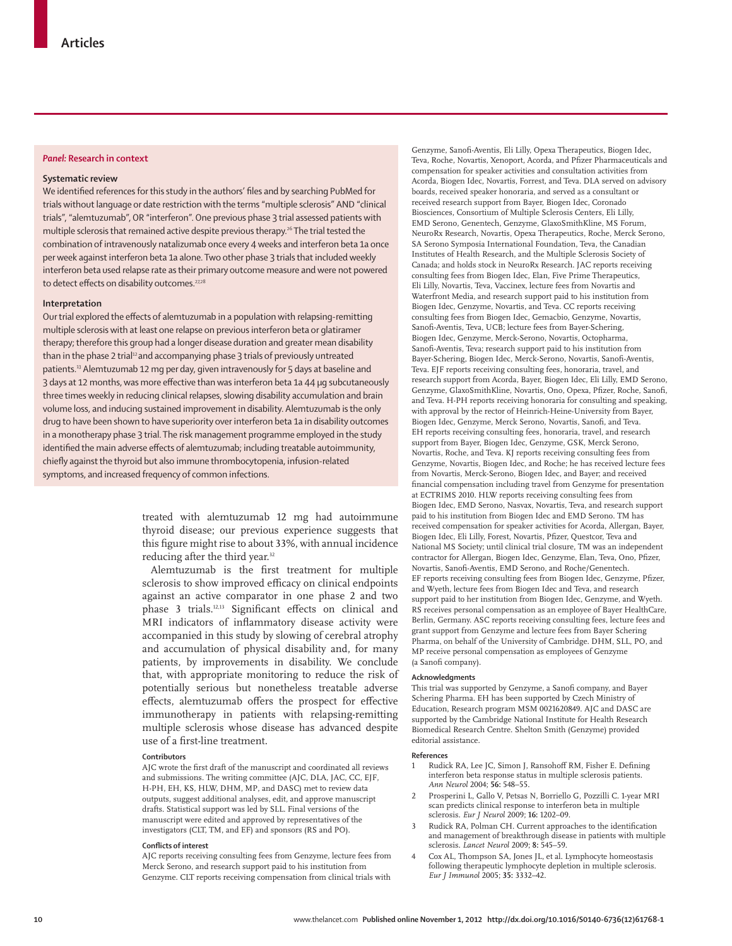# *Panel:* **Research in context**

### **Systematic review**

We identified references for this study in the authors' files and by searching PubMed for trials without language or date restriction with the terms "multiple sclerosis" AND "clinical trials", "alemtuzumab", OR "interferon". One previous phase 3 trial assessed patients with multiple sclerosis that remained active despite previous therapy.<sup>26</sup> The trial tested the combination of intravenously natalizumab once every 4 weeks and interferon beta 1a once per week against interferon beta 1a alone. Two other phase 3 trials that included weekly interferon beta used relapse rate as their primary outcome measure and were not powered to detect effects on disability outcomes.<sup>27,28</sup>

## **Interpretation**

Our trial explored the effects of alemtuzumab in a population with relapsing-remitting multiple sclerosis with at least one relapse on previous interferon beta or glatiramer therapy; therefore this group had a longer disease duration and greater mean disability than in the phase 2 trial<sup>12</sup> and accompanying phase 3 trials of previously untreated patients.13 Alemtuzumab 12 mg per day, given intravenously for 5 days at baseline and 3 days at 12 months, was more effective than was interferon beta 1a 44 µq subcutaneously three times weekly in reducing clinical relapses, slowing disability accumulation and brain volume loss, and inducing sustained improvement in disability. Alemtuzumab is the only drug to have been shown to have superiority over interferon beta 1a in disability outcomes in a monotherapy phase 3 trial. The risk management programme employed in the study identified the main adverse effects of alemtuzumab; including treatable autoimmunity, chiefly against the thyroid but also immune thrombocytopenia, infusion-related symptoms, and increased frequency of common infections.

> treated with alemtuzumab 12 mg had autoimmune thyroid disease; our previous experience suggests that this figure might rise to about 33%, with annual incidence reducing after the third year.<sup>32</sup>

> Alemtuzumab is the first treatment for multiple sclerosis to show improved efficacy on clinical endpoints against an active comparator in one phase 2 and two phase 3 trials.<sup>12,13</sup> Significant effects on clinical and MRI indicators of inflammatory disease activity were accompanied in this study by slowing of cerebral atrophy and accumulation of physical disability and, for many patients, by improvements in disability. We conclude that, with appropriate monitoring to reduce the risk of potentially serious but nonetheless treatable adverse effects, alemtuzumab offers the prospect for effective immunotherapy in patients with relapsing-remitting multiple sclerosis whose disease has advanced despite use of a first-line treatment.

#### **Contributors**

AJC wrote the first draft of the manuscript and coordinated all reviews and submissions. The writing committee (AJC, DLA, JAC, CC, EJF, H-PH, EH, KS, HLW, DHM, MP, and DASC) met to review data outputs, suggest additional analyses, edit, and approve manuscript drafts. Statistical support was led by SLL. Final versions of the manuscript were edited and approved by representatives of the investigators (CLT, TM, and EF) and sponsors (RS and PO).

## **Conflicts of interest**

AJC reports receiving consulting fees from Genzyme, lecture fees from Merck Serono, and research support paid to his institution from Genzyme. CLT reports receiving compensation from clinical trials with

Genzyme, Sanofi -Aventis, Eli Lilly, Opexa Therapeutics, Biogen Idec, Teva, Roche, Novartis, Xenoport, Acorda, and Pfizer Pharmaceuticals and compensation for speaker activities and consultation activities from Acorda, Biogen Idec, Novartis, Forrest, and Teva. DLA served on advisory boards, received speaker honoraria, and served as a consultant or received research support from Bayer, Biogen Idec, Coronado Biosciences, Consortium of Multiple Sclerosis Centers, Eli Lilly, EMD Serono, Genentech, Genzyme, GlaxoSmithKline, MS Forum, NeuroRx Research, Novartis, Opexa Therapeutics, Roche, Merck Serono, SA Serono Symposia International Foundation, Teva, the Canadian Institutes of Health Research, and the Multiple Sclerosis Society of Canada; and holds stock in NeuroRx Research. JAC reports receiving consulting fees from Biogen Idec, Elan, Five Prime Therapeutics, Eli Lilly, Novartis, Teva, Vaccinex, lecture fees from Novartis and Waterfront Media, and research support paid to his institution from Biogen Idec, Genzyme, Novartis, and Teva. CC reports receiving consulting fees from Biogen Idec, Gemacbio, Genzyme, Novartis, Sanofi -Aventis, Teva, UCB; lecture fees from Bayer-Schering, Biogen Idec, Genzyme, Merck-Serono, Novartis, Octopharma, Sanofi -Aventis, Teva; research support paid to his institution from Bayer-Schering, Biogen Idec, Merck-Serono, Novartis, Sanofi -Aventis, Teva. EJF reports receiving consulting fees, honoraria, travel, and research support from Acorda, Bayer, Biogen Idec, Eli Lilly, EMD Serono, Genzyme, GlaxoSmithKline, Novartis, Ono, Opexa, Pfizer, Roche, Sanofi, and Teva. H-PH reports receiving honoraria for consulting and speaking, with approval by the rector of Heinrich-Heine-University from Bayer, Biogen Idec, Genzyme, Merck Serono, Novartis, Sanofi, and Teva. EH reports receiving consulting fees, honoraria, travel, and research support from Bayer, Biogen Idec, Genzyme, GSK, Merck Serono, Novartis, Roche, and Teva. KJ reports receiving consulting fees from Genzyme, Novartis, Biogen Idec, and Roche; he has received lecture fees from Novartis, Merck-Serono, Biogen Idec, and Bayer; and received financial compensation including travel from Genzyme for presentation at ECTRIMS 2010. HLW reports receiving consulting fees from Biogen Idec, EMD Serono, Nasvax, Novartis, Teva, and research support paid to his institution from Biogen Idec and EMD Serono. TM has received compensation for speaker activities for Acorda, Allergan, Bayer, Biogen Idec, Eli Lilly, Forest, Novartis, Pfizer, Questcor, Teva and National MS Society; until clinical trial closure, TM was an independent contractor for Allergan, Biogen Idec, Genzyme, Elan, Teva, Ono, Pfizer, Novartis, Sanofi -Aventis, EMD Serono, and Roche/Genentech. EF reports receiving consulting fees from Biogen Idec, Genzyme, Pfizer, and Wyeth, lecture fees from Biogen Idec and Teva, and research support paid to her institution from Biogen Idec, Genzyme, and Wyeth. RS receives personal compensation as an employee of Bayer HealthCare, Berlin, Germany. ASC reports receiving consulting fees, lecture fees and grant support from Genzyme and lecture fees from Bayer Schering Pharma, on behalf of the University of Cambridge. DHM, SLL, PO, and MP receive personal compensation as employees of Genzyme (a Sanofi company).

#### **Acknowledgments**

This trial was supported by Genzyme, a Sanofi company, and Bayer Schering Pharma. EH has been supported by Czech Ministry of Education, Research program MSM 0021620849. AJC and DASC are supported by the Cambridge National Institute for Health Research Biomedical Research Centre. Shelton Smith (Genzyme) provided editorial assistance.

#### **References**

- Rudick RA, Lee JC, Simon J, Ransohoff RM, Fisher E. Defining interferon beta response status in multiple sclerosis patients. *Ann Neurol* 2004; **56:** 548–55.
- 2 Prosperini L, Gallo V, Petsas N, Borriello G, Pozzilli C. 1-year MRI scan predicts clinical response to interferon beta in multiple sclerosis. *Eur J Neurol* 2009; **16:** 1202–09.
- Rudick RA, Polman CH. Current approaches to the identification and management of breakthrough disease in patients with multiple sclerosis. *Lancet Neurol* 2009; **8:** 545–59.
- 4 Cox AL, Thompson SA, Jones JL, et al. Lymphocyte homeostasis following therapeutic lymphocyte depletion in multiple sclerosis. *Eur J Immunol* 2005; **35:** 3332–42.